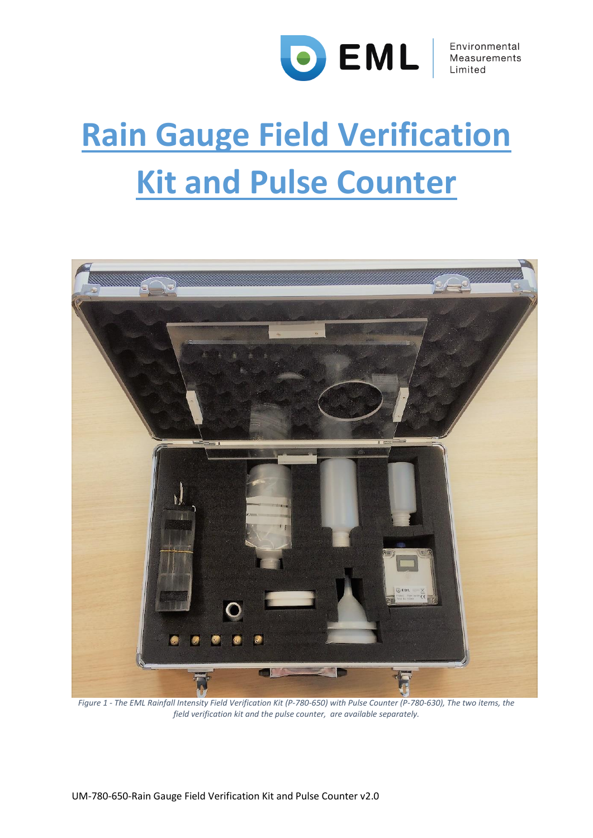

# **Rain Gauge Field Verification Kit and Pulse Counter**

<span id="page-0-0"></span>

*Figure 1 - The EML Rainfall Intensity Field Verification Kit (P-780-650) with Pulse Counter (P-780-630), The two items, the field verification kit and the pulse counter, are available separately.*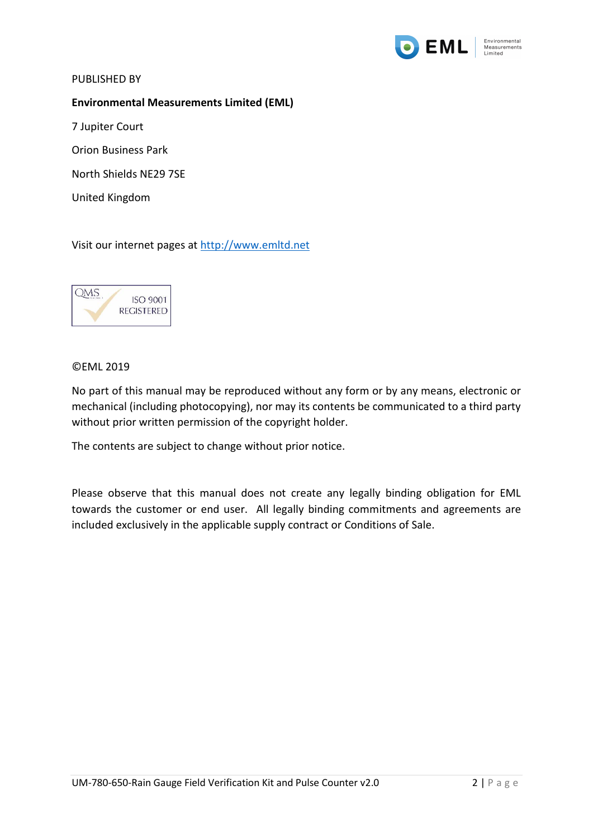

PUBLISHED BY

**Environmental Measurements Limited (EML)**

7 Jupiter Court

Orion Business Park

North Shields NE29 7SE

United Kingdom

Visit our internet pages at [http://www.emltd.net](http://www.emltd.net/)



#### ©EML 2019

No part of this manual may be reproduced without any form or by any means, electronic or mechanical (including photocopying), nor may its contents be communicated to a third party without prior written permission of the copyright holder.

The contents are subject to change without prior notice.

Please observe that this manual does not create any legally binding obligation for EML towards the customer or end user. All legally binding commitments and agreements are included exclusively in the applicable supply contract or Conditions of Sale.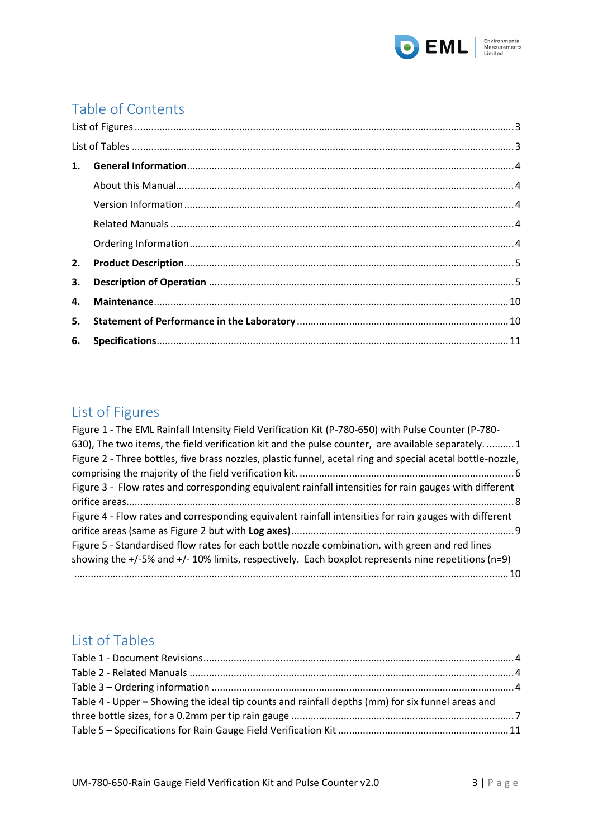

# Table of Contents

| 2. |  |
|----|--|
| 3. |  |
|    |  |
| 5. |  |
|    |  |

## <span id="page-2-0"></span>List of Figures

| Figure 1 - The EML Rainfall Intensity Field Verification Kit (P-780-650) with Pulse Counter (P-780-         |
|-------------------------------------------------------------------------------------------------------------|
| 630), The two items, the field verification kit and the pulse counter, are available separately.  1         |
| Figure 2 - Three bottles, five brass nozzles, plastic funnel, acetal ring and special acetal bottle-nozzle, |
|                                                                                                             |
| Figure 3 - Flow rates and corresponding equivalent rainfall intensities for rain gauges with different      |
|                                                                                                             |
| Figure 4 - Flow rates and corresponding equivalent rainfall intensities for rain gauges with different      |
|                                                                                                             |
| Figure 5 - Standardised flow rates for each bottle nozzle combination, with green and red lines             |
| showing the $+/-5\%$ and $+/-10\%$ limits, respectively. Each boxplot represents nine repetitions (n=9)     |
|                                                                                                             |

## <span id="page-2-1"></span>List of Tables

| Table 4 - Upper – Showing the ideal tip counts and rainfall depths (mm) for six funnel areas and |  |
|--------------------------------------------------------------------------------------------------|--|
|                                                                                                  |  |
|                                                                                                  |  |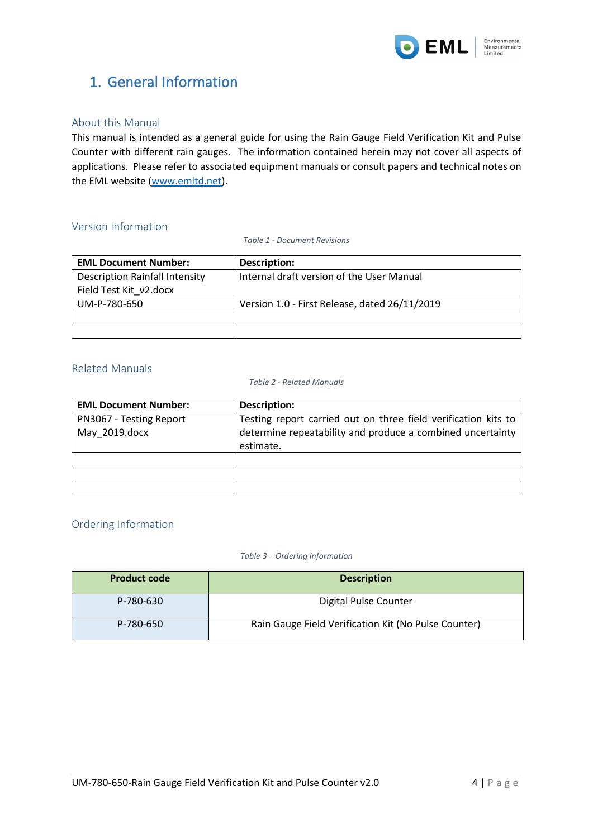

## <span id="page-3-0"></span>1. General Information

#### <span id="page-3-1"></span>About this Manual

This manual is intended as a general guide for using the Rain Gauge Field Verification Kit and Pulse Counter with different rain gauges. The information contained herein may not cover all aspects of applications. Please refer to associated equipment manuals or consult papers and technical notes on the EML website [\(www.emltd.net\)](http://www.emltd.net/).

#### <span id="page-3-5"></span><span id="page-3-2"></span>Version Information

*Table 1 - Document Revisions*

| <b>EML Document Number:</b>           | Description:                                  |
|---------------------------------------|-----------------------------------------------|
| <b>Description Rainfall Intensity</b> | Internal draft version of the User Manual     |
| Field Test Kit v2.docx                |                                               |
| UM-P-780-650                          | Version 1.0 - First Release, dated 26/11/2019 |
|                                       |                                               |
|                                       |                                               |

#### <span id="page-3-6"></span><span id="page-3-3"></span>Related Manuals

#### *Table 2 - Related Manuals*

| <b>EML Document Number:</b> | Description:                                                   |
|-----------------------------|----------------------------------------------------------------|
| PN3067 - Testing Report     | Testing report carried out on three field verification kits to |
| May 2019.docx               | determine repeatability and produce a combined uncertainty     |
|                             | estimate.                                                      |
|                             |                                                                |
|                             |                                                                |
|                             |                                                                |

#### <span id="page-3-4"></span>Ordering Information

#### *Table 3 – Ordering information*

<span id="page-3-7"></span>

| <b>Product code</b> | <b>Description</b>                                   |
|---------------------|------------------------------------------------------|
| P-780-630           | Digital Pulse Counter                                |
| P-780-650           | Rain Gauge Field Verification Kit (No Pulse Counter) |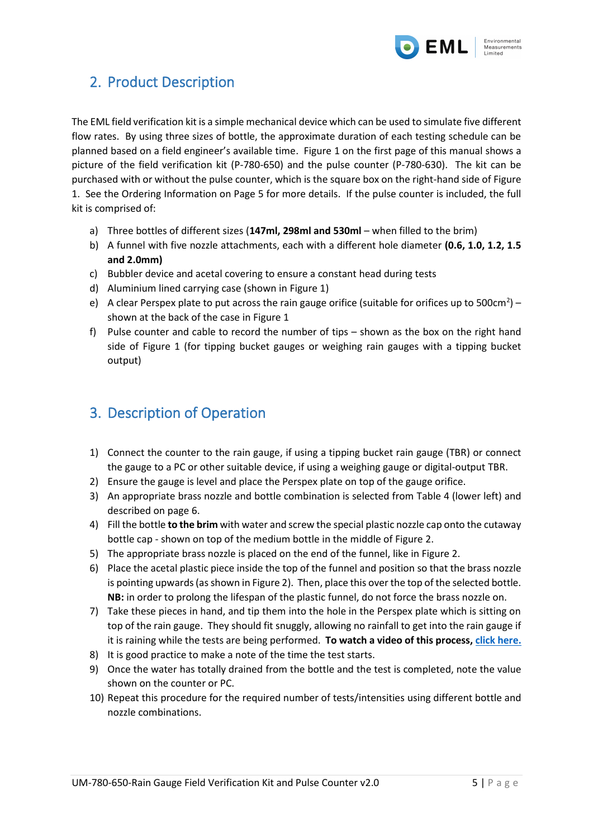

## <span id="page-4-0"></span>2. Product Description

The EML field verification kit is a simple mechanical device which can be used to simulate five different flow rates. By using three sizes of bottle, the approximate duration of each testing schedule can be planned based on a field engineer's available time. [Figure 1](#page-0-0) on the first page of this manual shows a picture of the field verification kit (P-780-650) and the pulse counter (P-780-630). The kit can be purchased with or without the pulse counter, which is the square box on the right-hand side of [Figure](#page-0-0)  [1.](#page-0-0) See the Ordering Information on Page 5 for more details. If the pulse counter is included, the full kit is comprised of:

- a) Three bottles of different sizes (**147ml, 298ml and 530ml** when filled to the brim)
- b) A funnel with five nozzle attachments, each with a different hole diameter **(0.6, 1.0, 1.2, 1.5 and 2.0mm)**
- c) Bubbler device and acetal covering to ensure a constant head during tests
- d) Aluminium lined carrying case (shown in [Figure 1\)](#page-0-0)
- e) A clear Perspex plate to put across the rain gauge orifice (suitable for orifices up to 500cm<sup>2</sup>) shown at the back of the case in [Figure 1](#page-0-0)
- f) Pulse counter and cable to record the number of tips shown as the box on the right hand side of [Figure 1](#page-0-0) (for tipping bucket gauges or weighing rain gauges with a tipping bucket output)

## <span id="page-4-1"></span>3. Description of Operation

- 1) Connect the counter to the rain gauge, if using a tipping bucket rain gauge (TBR) or connect the gauge to a PC or other suitable device, if using a weighing gauge or digital-output TBR.
- 2) Ensure the gauge is level and place the Perspex plate on top of the gauge orifice.
- 3) An appropriate brass nozzle and bottle combination is selected from [Table 4](#page-6-0) (lower left) and described on page 6.
- 4) Fill the bottle **to the brim** with water and screw the special plastic nozzle cap onto the cutaway bottle cap - shown on top of the medium bottle in the middle of [Figure 2.](#page-5-0)
- 5) The appropriate brass nozzle is placed on the end of the funnel, like i[n Figure 2.](#page-5-0)
- 6) Place the acetal plastic piece inside the top of the funnel and position so that the brass nozzle is pointing upwards (as shown in [Figure 2\)](#page-5-0). Then, place this over the top of the selected bottle. **NB:** in order to prolong the lifespan of the plastic funnel, do not force the brass nozzle on.
- 7) Take these pieces in hand, and tip them into the hole in the Perspex plate which is sitting on top of the rain gauge. They should fit snuggly, allowing no rainfall to get into the rain gauge if it is raining while the tests are being performed. **To watch a video of this process, [click here.](http://www.emltd.net/rainfall-field-vk.html)**
- 8) It is good practice to make a note of the time the test starts.
- 9) Once the water has totally drained from the bottle and the test is completed, note the value shown on the counter or PC.
- 10) Repeat this procedure for the required number of tests/intensities using different bottle and nozzle combinations.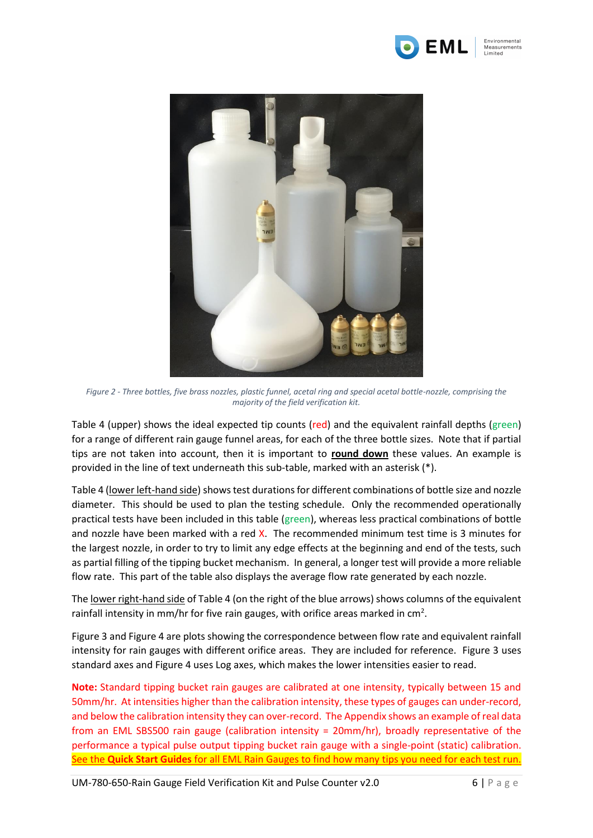



*Figure 2 - Three bottles, five brass nozzles, plastic funnel, acetal ring and special acetal bottle-nozzle, comprising the majority of the field verification kit.*

<span id="page-5-0"></span>[Table 4](#page-6-0) (upper) shows the ideal expected tip counts (red) and the equivalent rainfall depths (green) for a range of different rain gauge funnel areas, for each of the three bottle sizes. Note that if partial tips are not taken into account, then it is important to **round down** these values. An example is provided in the line of text underneath this sub-table, marked with an asterisk (\*).

[Table 4](#page-6-0) (lower left-hand side) shows test durations for different combinations of bottle size and nozzle diameter. This should be used to plan the testing schedule. Only the recommended operationally practical tests have been included in this table (green), whereas less practical combinations of bottle and nozzle have been marked with a red X. The recommended minimum test time is 3 minutes for the largest nozzle, in order to try to limit any edge effects at the beginning and end of the tests, such as partial filling of the tipping bucket mechanism. In general, a longer test will provide a more reliable flow rate. This part of the table also displays the average flow rate generated by each nozzle.

The lower right-hand side of [Table 4](#page-6-0) (on the right of the blue arrows) shows columns of the equivalent rainfall intensity in mm/hr for five rain gauges, with orifice areas marked in  $cm<sup>2</sup>$ .

[Figure 3](#page-7-0) and [Figure 4](#page-8-0) are plots showing the correspondence between flow rate and equivalent rainfall intensity for rain gauges with different orifice areas. They are included for reference. [Figure 3](#page-7-0) uses standard axes and [Figure 4](#page-8-0) uses Log axes, which makes the lower intensities easier to read.

**Note:** Standard tipping bucket rain gauges are calibrated at one intensity, typically between 15 and 50mm/hr. At intensities higher than the calibration intensity, these types of gauges can under-record, and below the calibration intensity they can over-record. The Appendix shows an example of real data from an EML SBS500 rain gauge (calibration intensity = 20mm/hr), broadly representative of the performance a typical pulse output tipping bucket rain gauge with a single-point (static) calibration. See the **Quick Start Guides** for all EML Rain Gauges to find how many tips you need for each test run.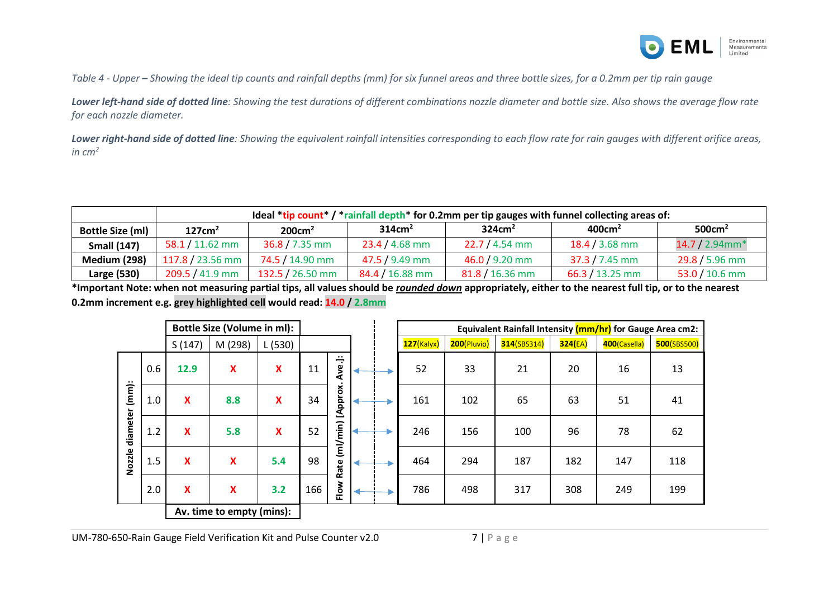

*Table 4 - Upper – Showing the ideal tip counts and rainfall depths (mm) for six funnel areas and three bottle sizes, for a 0.2mm per tip rain gauge*

*Lower left-hand side of dotted line: Showing the test durations of different combinations nozzle diameter and bottle size. Also shows the average flow rate for each nozzle diameter.* 

*Lower right-hand side of dotted line: Showing the equivalent rainfall intensities corresponding to each flow rate for rain gauges with different orifice areas,*   $in cm<sup>2</sup>$ 

|                         | Ideal $*$ tip count $*$ / $*$ rainfall depth $*$ for 0.2mm per tip gauges with funnel collecting areas of: |                    |                    |                    |                    |                    |  |  |  |
|-------------------------|------------------------------------------------------------------------------------------------------------|--------------------|--------------------|--------------------|--------------------|--------------------|--|--|--|
| <b>Bottle Size (ml)</b> | 127cm <sup>2</sup>                                                                                         | 200cm <sup>2</sup> | 314cm <sup>2</sup> | 324cm <sup>2</sup> | 400cm <sup>2</sup> | 500cm <sup>2</sup> |  |  |  |
| <b>Small (147)</b>      | $58.1 / 11.62$ mm                                                                                          | $36.8 / 7.35$ mm   | $23.4 / 4.68$ mm   | $22.7 / 4.54$ mm   | $18.4 / 3.68$ mm   | $14.7 / 2.94$ mm*  |  |  |  |
| <b>Medium (298)</b>     | 117.8 / 23.56 mm                                                                                           | 74.5 / 14.90 mm    | 47.5 / 9.49 mm     | $46.0 / 9.20$ mm   | $37.3 / 7.45$ mm   | 29.8 / 5.96 mm     |  |  |  |
| Large (530)             | 209.5 / 41.9 mm                                                                                            | 132.5 / 26.50 mm   | $84.4 / 16.88$ mm  | $81.8 / 16.36$ mm  | $66.3 / 13.25$ mm  | $53.0 / 10.6$ mm   |  |  |  |

<span id="page-6-0"></span>**\*Important Note: when not measuring partial tips, all values should be** *rounded down* **appropriately, either to the nearest full tip, or to the nearest 0.2mm increment e.g. grey highlighted cell would read: 14.0 / 2.8mm**

| <b>Bottle Size (Volume in ml):</b>    |     |        |                           |                           |     |          |  | Equivalent Rainfall Intensity (mm/hr) for Gauge Area cm2: |             |             |         |              |             |
|---------------------------------------|-----|--------|---------------------------|---------------------------|-----|----------|--|-----------------------------------------------------------|-------------|-------------|---------|--------------|-------------|
|                                       |     | S(147) | M (298)                   | L(530)                    |     |          |  | $127$ (Kalyx)                                             | 200(Pluvio) | 314(SBS314) | 324(EA) | 400(Casella) | 500(SBS500) |
| $(mm)$ :<br>diameter<br><b>Nozzle</b> | 0.6 | 12.9   | X                         | $\boldsymbol{\mathsf{X}}$ | 11  | Ave.]:   |  | 52                                                        | 33          | 21          | 20      | 16           | 13          |
|                                       | 1.0 | X      | 8.8                       | $\boldsymbol{\mathsf{x}}$ | 34  | [Approx. |  | 161                                                       | 102         | 65          | 63      | 51           | 41          |
|                                       | 1.2 | X      | 5.8                       | $\boldsymbol{\mathsf{x}}$ | 52  | (m1/min) |  | 246                                                       | 156         | 100         | 96      | 78           | 62          |
|                                       | 1.5 | X      | X                         | 5.4                       | 98  | Rate     |  | 464                                                       | 294         | 187         | 182     | 147          | 118         |
|                                       | 2.0 | X      | $\boldsymbol{\mathsf{X}}$ | 3.2                       | 166 | Flow     |  | 786                                                       | 498         | 317         | 308     | 249          | 199         |
| Av. time to empty (mins):             |     |        |                           |                           |     |          |  |                                                           |             |             |         |              |             |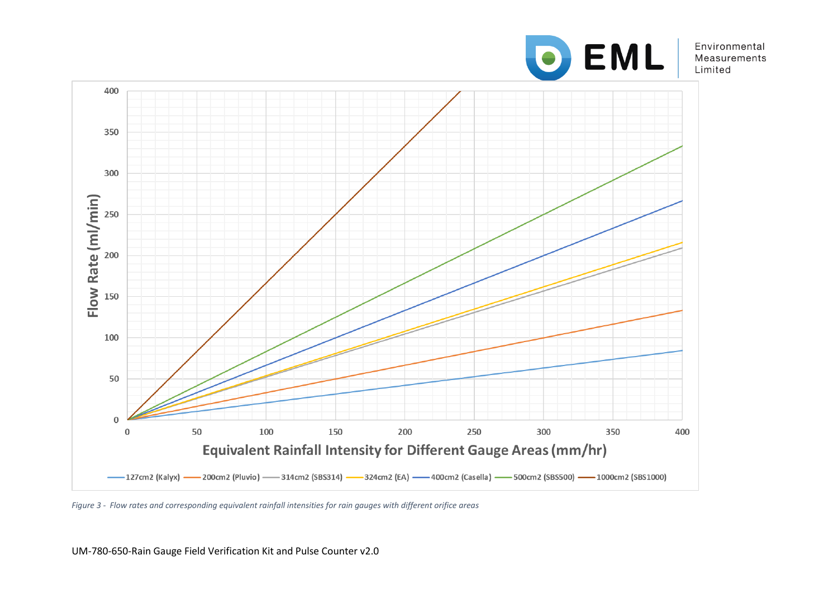

Environmental Measurements Limited



<span id="page-7-0"></span>*Figure 3 - Flow rates and corresponding equivalent rainfall intensities for rain gauges with different orifice areas*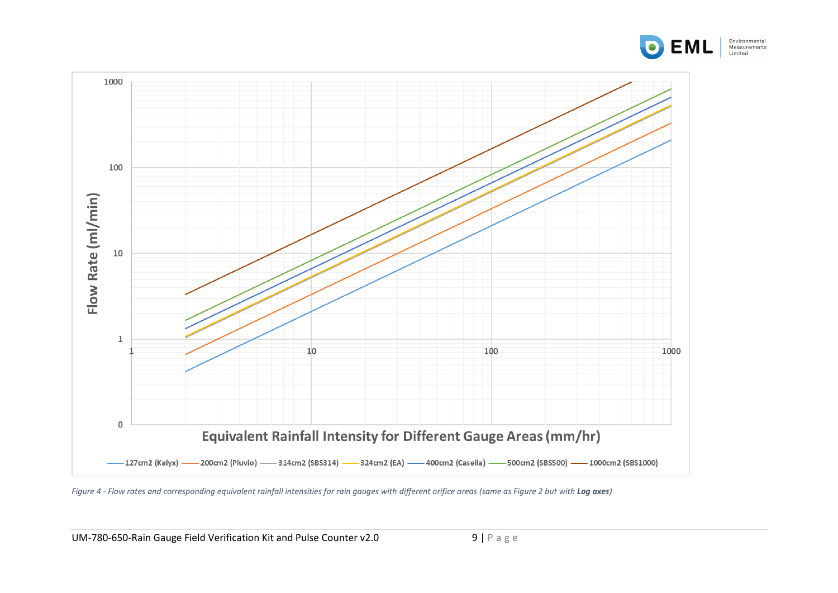



<span id="page-8-0"></span>*Figure 4 - Flow rates and corresponding equivalent rainfall intensities for rain gauges with different orifice areas (same as Figure 2 but with Log axes)*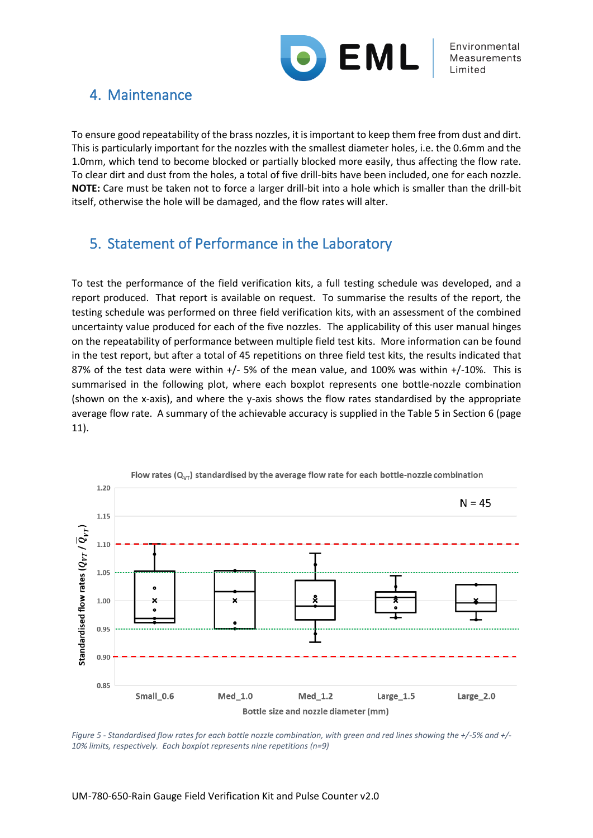

### <span id="page-9-0"></span>4. Maintenance

To ensure good repeatability of the brass nozzles, it is important to keep them free from dust and dirt. This is particularly important for the nozzles with the smallest diameter holes, i.e. the 0.6mm and the 1.0mm, which tend to become blocked or partially blocked more easily, thus affecting the flow rate. To clear dirt and dust from the holes, a total of five drill-bits have been included, one for each nozzle. **NOTE:** Care must be taken not to force a larger drill-bit into a hole which is smaller than the drill-bit itself, otherwise the hole will be damaged, and the flow rates will alter.

## <span id="page-9-1"></span>5. Statement of Performance in the Laboratory

To test the performance of the field verification kits, a full testing schedule was developed, and a report produced. That report is available on request. To summarise the results of the report, the testing schedule was performed on three field verification kits, with an assessment of the combined uncertainty value produced for each of the five nozzles. The applicability of this user manual hinges on the repeatability of performance between multiple field test kits. More information can be found in the test report, but after a total of 45 repetitions on three field test kits, the results indicated that 87% of the test data were within +/- 5% of the mean value, and 100% was within +/-10%. This is summarised in the following plot, where each boxplot represents one bottle-nozzle combination (shown on the x-axis), and where the y-axis shows the flow rates standardised by the appropriate average flow rate. A summary of the achievable accuracy is supplied in the [Table 5](#page-10-1) in Section 6 (page 11).



<span id="page-9-2"></span>*Figure 5 - Standardised flow rates for each bottle nozzle combination, with green and red lines showing the +/-5% and +/- 10% limits, respectively. Each boxplot represents nine repetitions (n=9)*